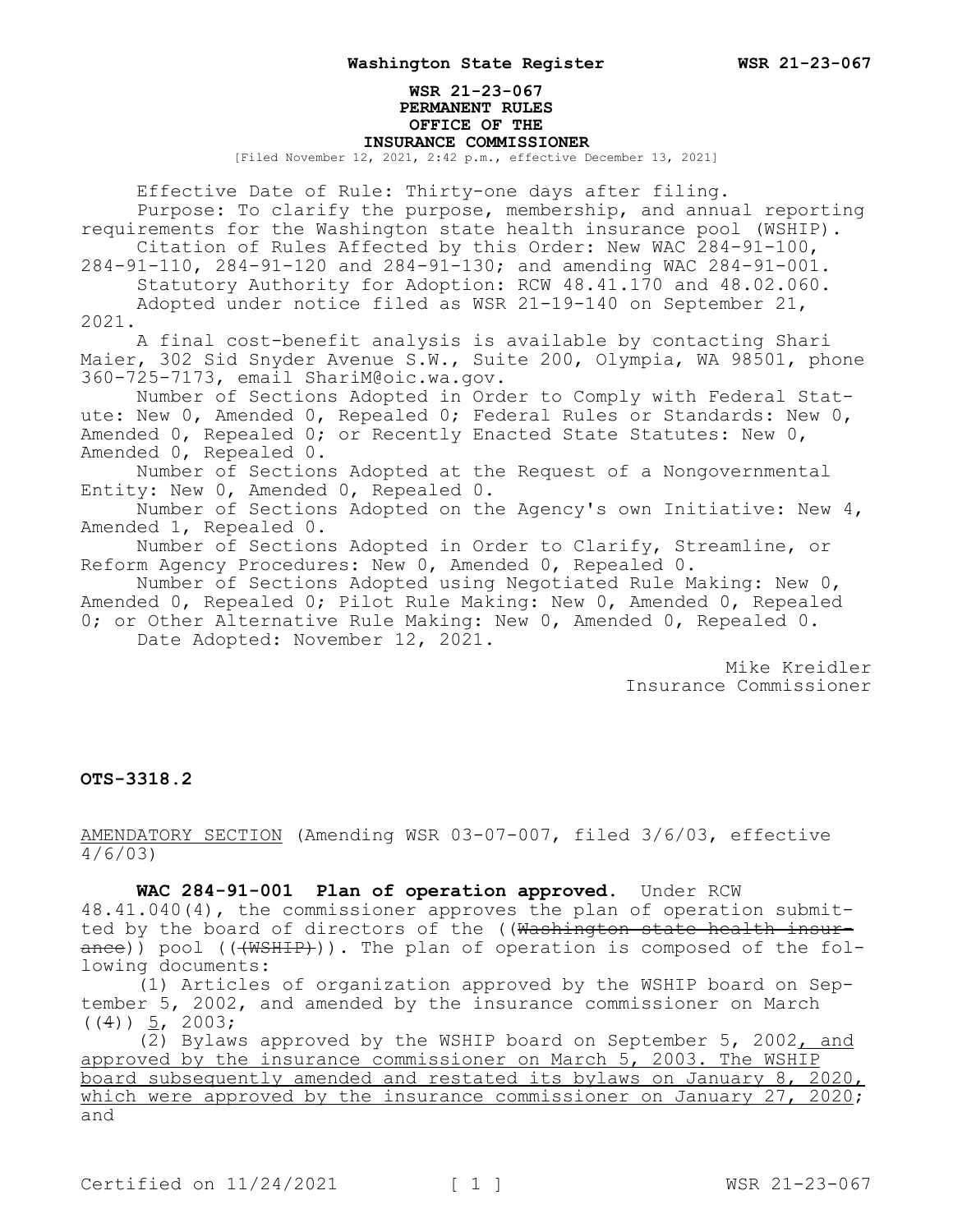## **WSR 21-23-067 PERMANENT RULES OFFICE OF THE INSURANCE COMMISSIONER**

[Filed November 12, 2021, 2:42 p.m., effective December 13, 2021]

Effective Date of Rule: Thirty-one days after filing. Purpose: To clarify the purpose, membership, and annual reporting requirements for the Washington state health insurance pool (WSHIP). Citation of Rules Affected by this Order: New WAC 284-91-100, 284-91-110, 284-91-120 and 284-91-130; and amending WAC 284-91-001. Statutory Authority for Adoption: RCW 48.41.170 and 48.02.060. Adopted under notice filed as WSR 21-19-140 on September 21, 2021. A final cost-benefit analysis is available by contacting Shari Maier, 302 Sid Snyder Avenue S.W., Suite 200, Olympia, WA 98501, phone 360-725-7173, email ShariM@oic.wa.gov. Number of Sections Adopted in Order to Comply with Federal Statute: New 0, Amended 0, Repealed 0; Federal Rules or Standards: New 0, Amended 0, Repealed 0; or Recently Enacted State Statutes: New 0, Amended 0, Repealed 0. Number of Sections Adopted at the Request of a Nongovernmental Entity: New 0, Amended 0, Repealed 0. Number of Sections Adopted on the Agency's own Initiative: New 4, Amended 1, Repealed 0.

Number of Sections Adopted in Order to Clarify, Streamline, or Reform Agency Procedures: New 0, Amended 0, Repealed 0.

Number of Sections Adopted using Negotiated Rule Making: New 0, Amended 0, Repealed 0; Pilot Rule Making: New 0, Amended 0, Repealed 0; or Other Alternative Rule Making: New 0, Amended 0, Repealed 0. Date Adopted: November 12, 2021.

> Mike Kreidler Insurance Commissioner

## **OTS-3318.2**

AMENDATORY SECTION (Amending WSR 03-07-007, filed 3/6/03, effective 4/6/03)

**WAC 284-91-001 Plan of operation approved.** Under RCW 48.41.040(4), the commissioner approves the plan of operation submitted by the board of directors of the ((Washington state health insurance)) pool (((WSHIP))). The plan of operation is composed of the following documents:

(1) Articles of organization approved by the WSHIP board on September 5, 2002, and amended by the insurance commissioner on March  $((4))$  5, 2003;

(2) Bylaws approved by the WSHIP board on September 5, 2002, and approved by the insurance commissioner on March 5, 2003. The WSHIP board subsequently amended and restated its bylaws on January 8, 2020, which were approved by the insurance commissioner on January 27, 2020; and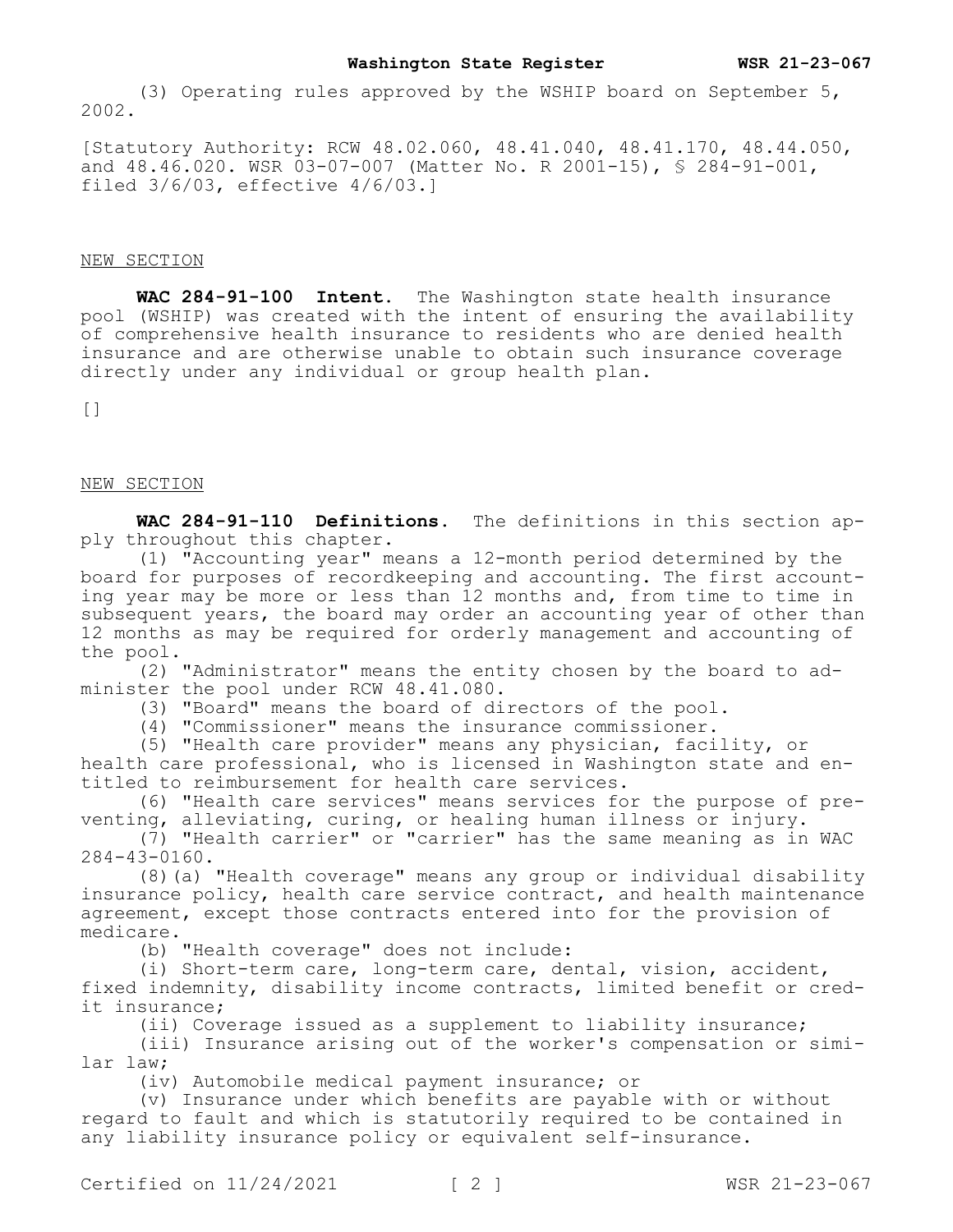(3) Operating rules approved by the WSHIP board on September 5, 2002.

[Statutory Authority: RCW 48.02.060, 48.41.040, 48.41.170, 48.44.050, and 48.46.020. WSR 03-07-007 (Matter No. R 2001-15), § 284-91-001, filed 3/6/03, effective 4/6/03.]

# NEW SECTION

**WAC 284-91-100 Intent.** The Washington state health insurance pool (WSHIP) was created with the intent of ensuring the availability of comprehensive health insurance to residents who are denied health insurance and are otherwise unable to obtain such insurance coverage directly under any individual or group health plan.

 $[$ 

#### NEW SECTION

**WAC 284-91-110 Definitions.** The definitions in this section apply throughout this chapter.

(1) "Accounting year" means a 12-month period determined by the board for purposes of recordkeeping and accounting. The first accounting year may be more or less than 12 months and, from time to time in subsequent years, the board may order an accounting year of other than 12 months as may be required for orderly management and accounting of the pool.

(2) "Administrator" means the entity chosen by the board to administer the pool under RCW 48.41.080.

(3) "Board" means the board of directors of the pool.

(4) "Commissioner" means the insurance commissioner.

(5) "Health care provider" means any physician, facility, or health care professional, who is licensed in Washington state and entitled to reimbursement for health care services.

(6) "Health care services" means services for the purpose of preventing, alleviating, curing, or healing human illness or injury.

(7) "Health carrier" or "carrier" has the same meaning as in WAC 284-43-0160.

(8)(a) "Health coverage" means any group or individual disability insurance policy, health care service contract, and health maintenance agreement, except those contracts entered into for the provision of medicare.

(b) "Health coverage" does not include:

(i) Short-term care, long-term care, dental, vision, accident, fixed indemnity, disability income contracts, limited benefit or credit insurance;

(ii) Coverage issued as a supplement to liability insurance;

(iii) Insurance arising out of the worker's compensation or similar law;

(iv) Automobile medical payment insurance; or

(v) Insurance under which benefits are payable with or without regard to fault and which is statutorily required to be contained in any liability insurance policy or equivalent self-insurance.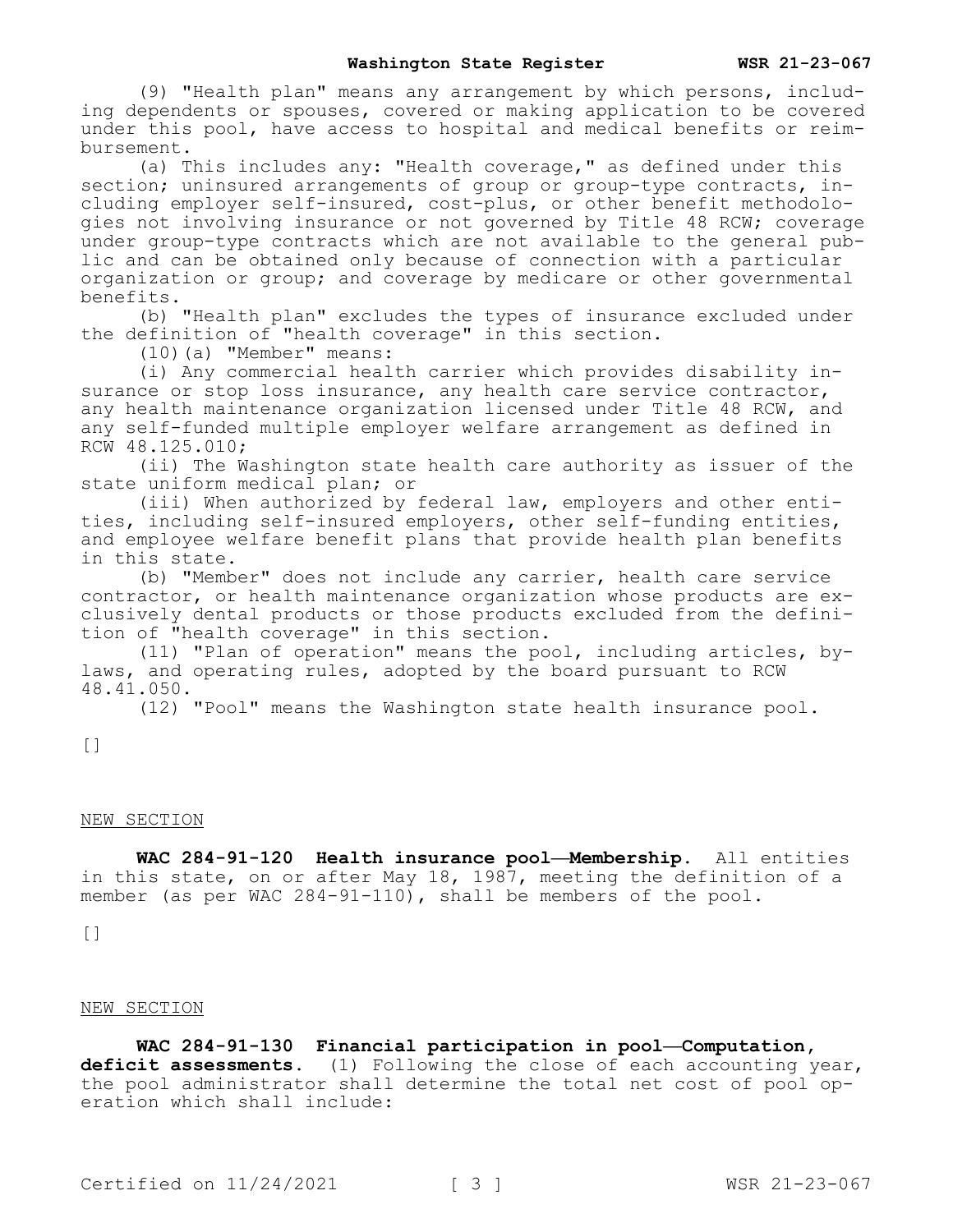(9) "Health plan" means any arrangement by which persons, including dependents or spouses, covered or making application to be covered under this pool, have access to hospital and medical benefits or reimbursement.

(a) This includes any: "Health coverage," as defined under this section; uninsured arrangements of group or group-type contracts, including employer self-insured, cost-plus, or other benefit methodologies not involving insurance or not governed by Title 48 RCW; coverage under group-type contracts which are not available to the general public and can be obtained only because of connection with a particular organization or group; and coverage by medicare or other governmental benefits.

(b) "Health plan" excludes the types of insurance excluded under the definition of "health coverage" in this section.

(10)(a) "Member" means:

(i) Any commercial health carrier which provides disability insurance or stop loss insurance, any health care service contractor, any health maintenance organization licensed under Title 48 RCW, and any self-funded multiple employer welfare arrangement as defined in RCW 48.125.010;

(ii) The Washington state health care authority as issuer of the state uniform medical plan; or

(iii) When authorized by federal law, employers and other entities, including self-insured employers, other self-funding entities, and employee welfare benefit plans that provide health plan benefits in this state.

(b) "Member" does not include any carrier, health care service contractor, or health maintenance organization whose products are exclusively dental products or those products excluded from the definition of "health coverage" in this section.

(11) "Plan of operation" means the pool, including articles, bylaws, and operating rules, adopted by the board pursuant to RCW 48.41.050.

(12) "Pool" means the Washington state health insurance pool.

[]

## NEW SECTION

**WAC 284-91-120 Health insurance pool—Membership.** All entities in this state, on or after May 18, 1987, meeting the definition of a member (as per WAC 284-91-110), shall be members of the pool.

 $[ ]$ 

## NEW SECTION

**WAC 284-91-130 Financial participation in pool—Computation, deficit assessments.** (1) Following the close of each accounting year, the pool administrator shall determine the total net cost of pool operation which shall include: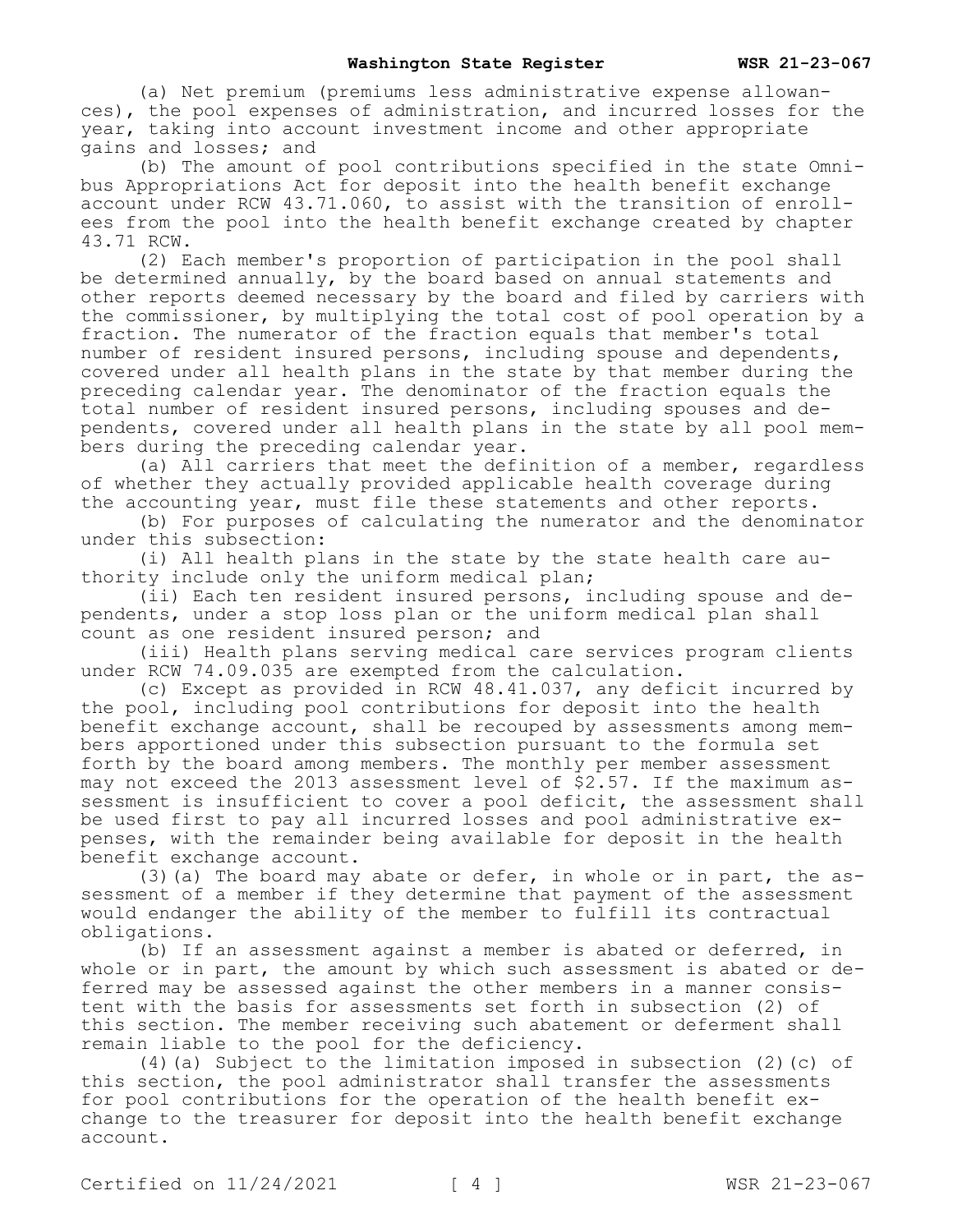(a) Net premium (premiums less administrative expense allowances), the pool expenses of administration, and incurred losses for the year, taking into account investment income and other appropriate gains and losses; and

(b) The amount of pool contributions specified in the state Omnibus Appropriations Act for deposit into the health benefit exchange account under RCW 43.71.060, to assist with the transition of enrollees from the pool into the health benefit exchange created by chapter 43.71 RCW.

(2) Each member's proportion of participation in the pool shall be determined annually, by the board based on annual statements and other reports deemed necessary by the board and filed by carriers with the commissioner, by multiplying the total cost of pool operation by a fraction. The numerator of the fraction equals that member's total number of resident insured persons, including spouse and dependents, covered under all health plans in the state by that member during the preceding calendar year. The denominator of the fraction equals the total number of resident insured persons, including spouses and dependents, covered under all health plans in the state by all pool members during the preceding calendar year.

(a) All carriers that meet the definition of a member, regardless of whether they actually provided applicable health coverage during the accounting year, must file these statements and other reports.

(b) For purposes of calculating the numerator and the denominator under this subsection:

(i) All health plans in the state by the state health care authority include only the uniform medical plan;

(ii) Each ten resident insured persons, including spouse and dependents, under a stop loss plan or the uniform medical plan shall count as one resident insured person; and

(iii) Health plans serving medical care services program clients under RCW 74.09.035 are exempted from the calculation.

(c) Except as provided in RCW 48.41.037, any deficit incurred by the pool, including pool contributions for deposit into the health benefit exchange account, shall be recouped by assessments among members apportioned under this subsection pursuant to the formula set forth by the board among members. The monthly per member assessment may not exceed the 2013 assessment level of \$2.57. If the maximum assessment is insufficient to cover a pool deficit, the assessment shall be used first to pay all incurred losses and pool administrative expenses, with the remainder being available for deposit in the health benefit exchange account.

(3)(a) The board may abate or defer, in whole or in part, the assessment of a member if they determine that payment of the assessment would endanger the ability of the member to fulfill its contractual obligations.

(b) If an assessment against a member is abated or deferred, in whole or in part, the amount by which such assessment is abated or deferred may be assessed against the other members in a manner consistent with the basis for assessments set forth in subsection (2) of this section. The member receiving such abatement or deferment shall remain liable to the pool for the deficiency.

(4)(a) Subject to the limitation imposed in subsection (2)(c) of this section, the pool administrator shall transfer the assessments for pool contributions for the operation of the health benefit exchange to the treasurer for deposit into the health benefit exchange account.